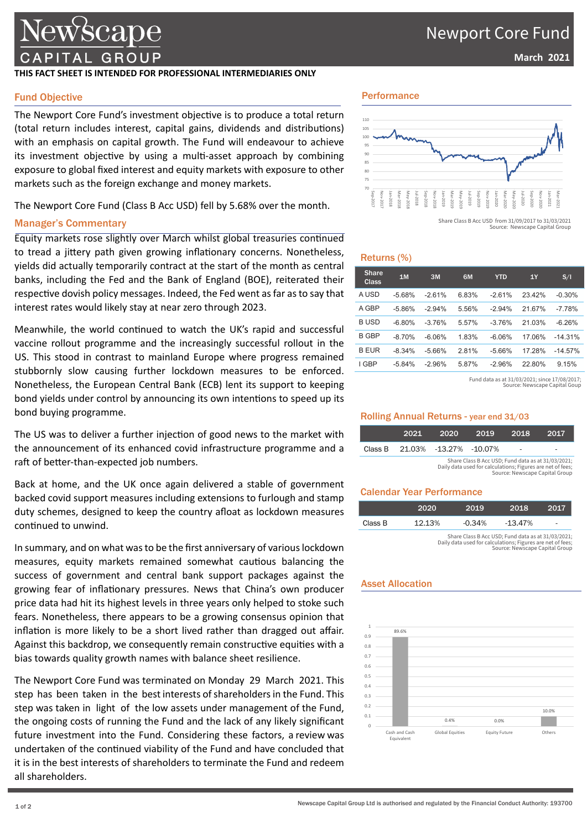## Newport Core Fund

### **March 2021**

## lewscape TAL GROUP

#### **THIS FACT SHEET IS INTENDED FOR PROFESSIONAL INTERMEDIARIES ONLY**

### Fund Objective

The Newport Core Fund's investment objective is to produce a total return (total return includes interest, capital gains, dividends and distributions) with an emphasis on capital growth. The Fund will endeavour to achieve its investment objective by using a multi-asset approach by combining exposure to global fixed interest and equity markets with exposure to other markets such as the foreign exchange and money markets.

The Newport Core Fund (Class B Acc USD) fell by 5.68% over the month.

#### Manager's Commentary

Equity markets rose slightly over March whilst global treasuries continued to tread a jittery path given growing inflationary concerns. Nonetheless, yields did actually temporarily contract at the start of the month as central banks, including the Fed and the Bank of England (BOE), reiterated their respective dovish policy messages. Indeed, the Fed went as far as to say that interest rates would likely stay at near zero through 2023.

Meanwhile, the world continued to watch the UK's rapid and successful vaccine rollout programme and the increasingly successful rollout in the US. This stood in contrast to mainland Europe where progress remained stubbornly slow causing further lockdown measures to be enforced. Nonetheless, the European Central Bank (ECB) lent its support to keeping bond yields under control by announcing its own intentions to speed up its bond buying programme.

The US was to deliver a further injection of good news to the market with the announcement of its enhanced covid infrastructure programme and a raft of better-than-expected job numbers.

Back at home, and the UK once again delivered a stable of government backed covid support measures including extensions to furlough and stamp duty schemes, designed to keep the country afloat as lockdown measures continued to unwind.

In summary, and on what was to be the first anniversary of various lockdown measures, equity markets remained somewhat cautious balancing the success of government and central bank support packages against the growing fear of inflationary pressures. News that China's own producer price data had hit its highest levels in three years only helped to stoke such fears. Nonetheless, there appears to be a growing consensus opinion that inflation is more likely to be a short lived rather than dragged out affair. Against this backdrop, we consequently remain constructive equities with a bias towards quality growth names with balance sheet resilience.

The Newport Core Fund was terminated on Monday 29 March 2021. This step has been taken in the best interests of shareholders in the Fund. This step was taken in light of the low assets under management of the Fund, the ongoing costs of running the Fund and the lack of any likely significant future investment into the Fund. Considering these factors, a review was undertaken of the continued viability of the Fund and have concluded that it is in the best interests of shareholders to terminate the Fund and redeem all shareholders.

### Performance



Source: Newscape Capital Group

#### Returns (%)

| <b>Share</b><br>Class | 1M       | 3M       | 6M    | <b>YTD</b> | 1Y     | S/I       |
|-----------------------|----------|----------|-------|------------|--------|-----------|
| A USD                 | $-5.68%$ | $-261%$  | 6.83% | $-2.61%$   | 2342%  | $-0.30%$  |
| A GBP                 | $-5.86%$ | $-294%$  | 5.56% | $-294%$    | 21 67% | $-7.78%$  |
| B USD                 | $-6.80%$ | $-376%$  | 5.57% | $-376%$    | 21 03% | $-6.26%$  |
| <b>B GBP</b>          | $-8.70%$ | $-6.06%$ | 1.83% | $-6.06%$   | 17.06% | $-14.31%$ |
| <b>B EUR</b>          | $-8.34%$ | $-5.66%$ | 2.81% | $-5.66%$   | 17.28% | $-14.57%$ |
| I GBP                 | $-5.84%$ | $-2.96%$ | 5.87% | $-2.96%$   | 22.80% | 9.15%     |

Fund data as at 31/03/2021; since 17/08/2017; cape Capital Gour

#### Rolling Annual Returns - year end 31/03

|                                                                                                                                                    | 2021 | 2020                   | 2019 | 2018 | 2017 |
|----------------------------------------------------------------------------------------------------------------------------------------------------|------|------------------------|------|------|------|
| Class B                                                                                                                                            |      | 21.03% -13.27% -10.07% |      |      |      |
| Share Class B Acc USD; Fund data as at 31/03/2021;<br>Daily data used for calculations; Figures are net of fees;<br>Source: Newscape Capital Group |      |                        |      |      |      |

## Calendar Year Performance

|         | 2020   | 2019                                               | 2018       | 2017                     |
|---------|--------|----------------------------------------------------|------------|--------------------------|
| Class B | 12.13% | $-0.34\%$                                          | $-13.47\%$ | $\overline{\phantom{0}}$ |
|         |        | Share Class B Acc USD: Fund data as at 31/03/2021: |            |                          |

Share Class B Acc USD; Fund data as at 31/03/2021; Daily data used for calculations; Figures are net of fees; Source: Newscape Capital Group

## Asset Allocation